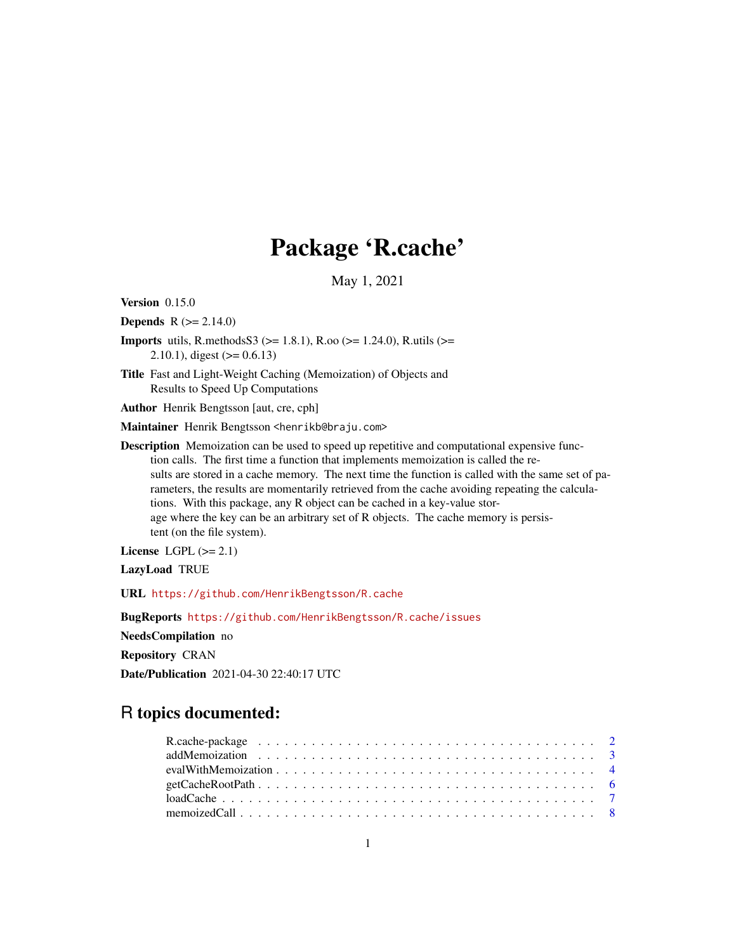## Package 'R.cache'

May 1, 2021

<span id="page-0-0"></span>Version 0.15.0

**Depends** R  $(>= 2.14.0)$ 

- **Imports** utils, R.methods  $S_3$  ( $> = 1.8.1$ ), R.oo ( $> = 1.24.0$ ), R.utils ( $> =$ 2.10.1), digest  $(>= 0.6.13)$
- Title Fast and Light-Weight Caching (Memoization) of Objects and Results to Speed Up Computations

Author Henrik Bengtsson [aut, cre, cph]

Maintainer Henrik Bengtsson <henrikb@braju.com>

Description Memoization can be used to speed up repetitive and computational expensive function calls. The first time a function that implements memoization is called the results are stored in a cache memory. The next time the function is called with the same set of parameters, the results are momentarily retrieved from the cache avoiding repeating the calculations. With this package, any R object can be cached in a key-value storage where the key can be an arbitrary set of R objects. The cache memory is persistent (on the file system).

License LGPL  $(>= 2.1)$ 

LazyLoad TRUE

URL <https://github.com/HenrikBengtsson/R.cache>

BugReports <https://github.com/HenrikBengtsson/R.cache/issues>

NeedsCompilation no

Repository CRAN

Date/Publication 2021-04-30 22:40:17 UTC

## R topics documented:

| $getCacheRootPath \dots \dots \dots \dots \dots \dots \dots \dots \dots \dots \dots \dots \dots \dots \dots \dots$ |  |
|--------------------------------------------------------------------------------------------------------------------|--|
|                                                                                                                    |  |
|                                                                                                                    |  |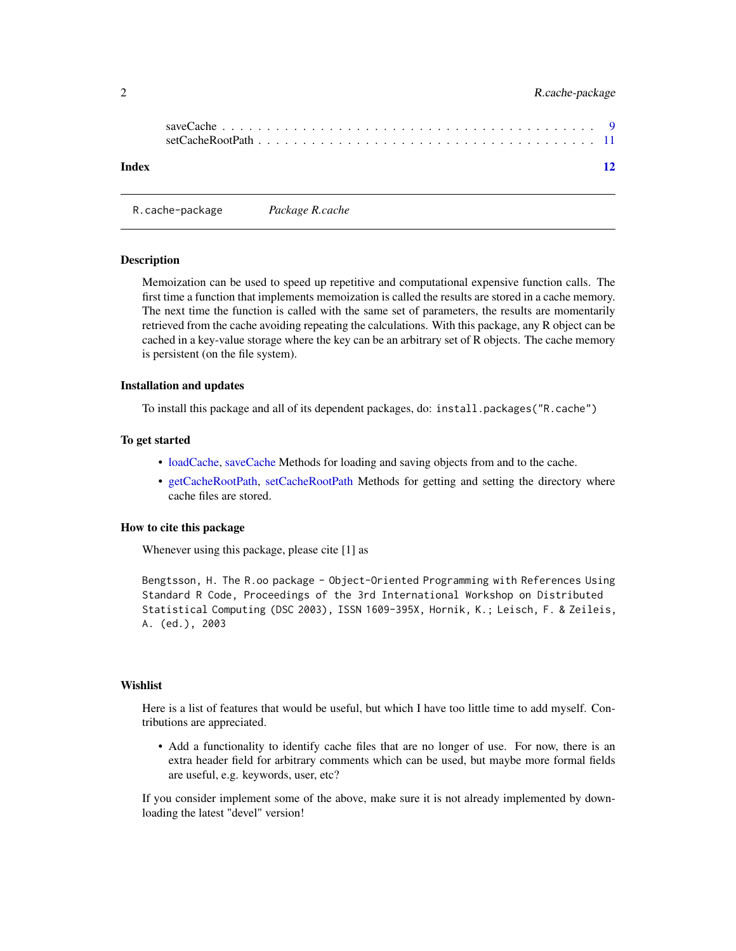<span id="page-1-0"></span>

| Index | $\overline{12}$ |
|-------|-----------------|

R.cache-package *Package R.cache*

#### **Description**

Memoization can be used to speed up repetitive and computational expensive function calls. The first time a function that implements memoization is called the results are stored in a cache memory. The next time the function is called with the same set of parameters, the results are momentarily retrieved from the cache avoiding repeating the calculations. With this package, any R object can be cached in a key-value storage where the key can be an arbitrary set of R objects. The cache memory is persistent (on the file system).

#### Installation and updates

To install this package and all of its dependent packages, do: install.packages("R.cache")

#### To get started

- [loadCache,](#page-6-1) [saveCache](#page-8-1) Methods for loading and saving objects from and to the cache.
- [getCacheRootPath,](#page-5-1) [setCacheRootPath](#page-10-1) Methods for getting and setting the directory where cache files are stored.

## How to cite this package

Whenever using this package, please cite [1] as

Bengtsson, H. The R.oo package - Object-Oriented Programming with References Using Standard R Code, Proceedings of the 3rd International Workshop on Distributed Statistical Computing (DSC 2003), ISSN 1609-395X, Hornik, K.; Leisch, F. & Zeileis, A. (ed.), 2003

#### Wishlist

Here is a list of features that would be useful, but which I have too little time to add myself. Contributions are appreciated.

• Add a functionality to identify cache files that are no longer of use. For now, there is an extra header field for arbitrary comments which can be used, but maybe more formal fields are useful, e.g. keywords, user, etc?

If you consider implement some of the above, make sure it is not already implemented by downloading the latest "devel" version!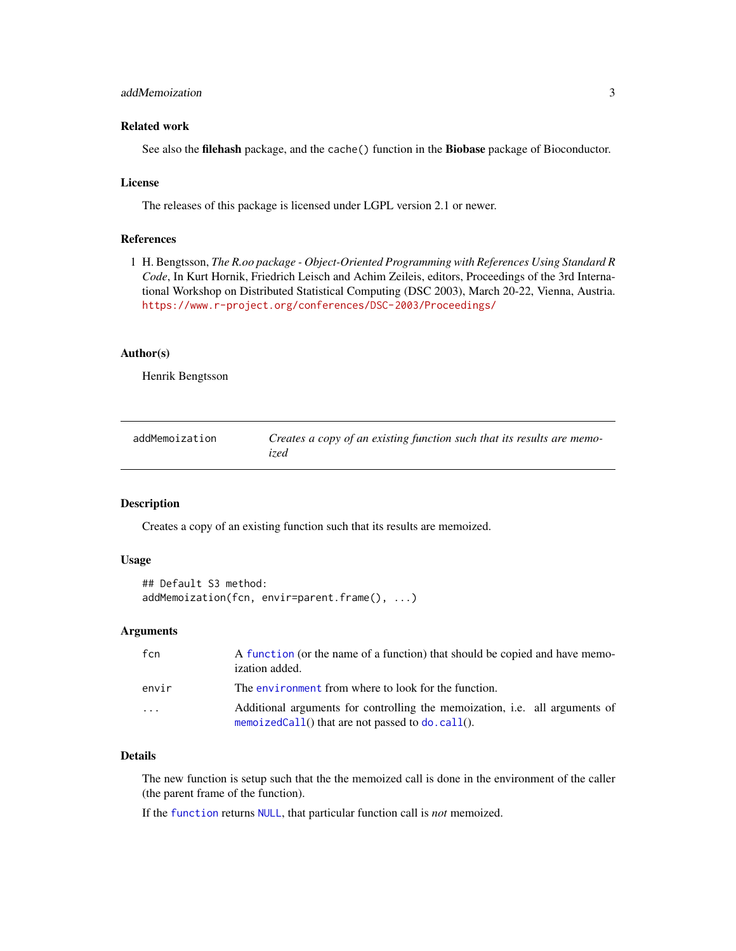#### <span id="page-2-0"></span>addMemoization 3

#### Related work

See also the filehash package, and the cache() function in the Biobase package of Bioconductor.

#### License

The releases of this package is licensed under LGPL version 2.1 or newer.

## References

1 H. Bengtsson, *The R.oo package - Object-Oriented Programming with References Using Standard R Code*, In Kurt Hornik, Friedrich Leisch and Achim Zeileis, editors, Proceedings of the 3rd International Workshop on Distributed Statistical Computing (DSC 2003), March 20-22, Vienna, Austria. <https://www.r-project.org/conferences/DSC-2003/Proceedings/>

#### Author(s)

Henrik Bengtsson

| addMemoization | Creates a copy of an existing function such that its results are memo- |
|----------------|------------------------------------------------------------------------|
|                | ized                                                                   |

#### Description

Creates a copy of an existing function such that its results are memoized.

#### Usage

```
## Default S3 method:
addMemoization(fcn, envir=parent.frame(), ...)
```
#### Arguments

| fcn   | A function (or the name of a function) that should be copied and have memo-<br>ization added.                                       |
|-------|-------------------------------------------------------------------------------------------------------------------------------------|
| envir | The environment from where to look for the function.                                                                                |
| .     | Additional arguments for controlling the memoization, i.e. all arguments of<br>memoizedCall() that are not passed to $do$ . call(). |

#### Details

The new function is setup such that the the memoized call is done in the environment of the caller (the parent frame of the function).

If the [function](#page-0-0) returns [NULL](#page-0-0), that particular function call is *not* memoized.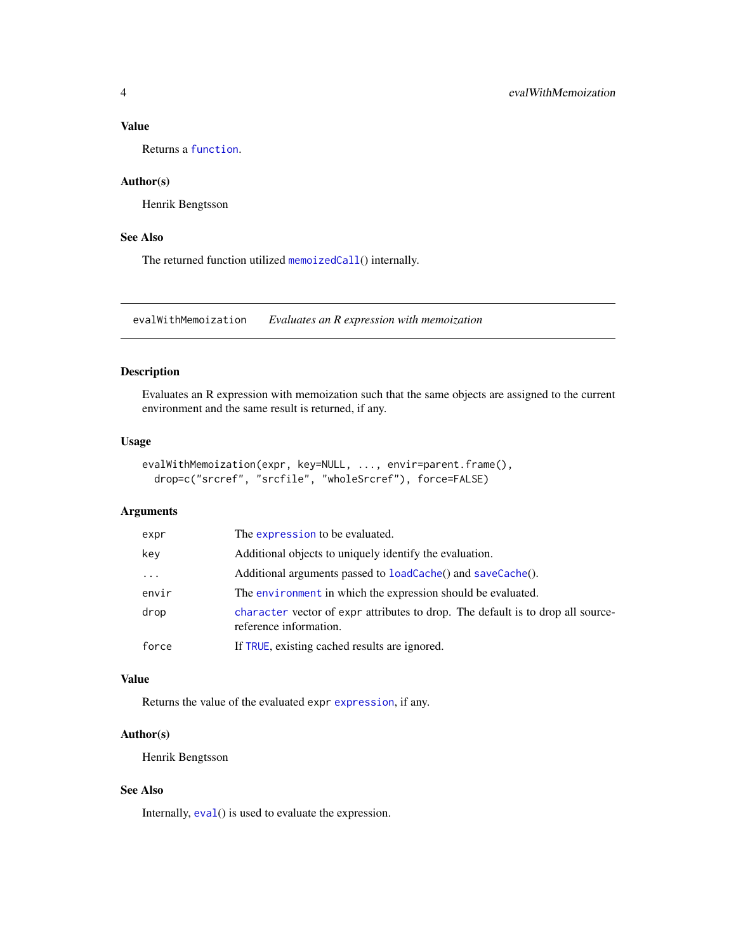#### <span id="page-3-0"></span>Value

Returns a [function](#page-0-0).

### Author(s)

Henrik Bengtsson

### See Also

The returned function utilized [memoizedCall](#page-7-1)() internally.

evalWithMemoization *Evaluates an R expression with memoization*

#### Description

Evaluates an R expression with memoization such that the same objects are assigned to the current environment and the same result is returned, if any.

#### Usage

```
evalWithMemoization(expr, key=NULL, ..., envir=parent.frame(),
  drop=c("srcref", "srcfile", "wholeSrcref"), force=FALSE)
```
## Arguments

| expr     | The expression to be evaluated.                                                                           |  |
|----------|-----------------------------------------------------------------------------------------------------------|--|
| key      | Additional objects to uniquely identify the evaluation.                                                   |  |
| $\cdots$ | Additional arguments passed to loadCache() and saveCache().                                               |  |
| envir    | The environment in which the expression should be evaluated.                                              |  |
| drop     | character vector of expr attributes to drop. The default is to drop all source-<br>reference information. |  |
| force    | If TRUE, existing cached results are ignored.                                                             |  |
|          |                                                                                                           |  |

#### Value

Returns the value of the evaluated expr [expression](#page-0-0), if any.

## Author(s)

Henrik Bengtsson

## See Also

Internally,  $eval()$  $eval()$  is used to evaluate the expression.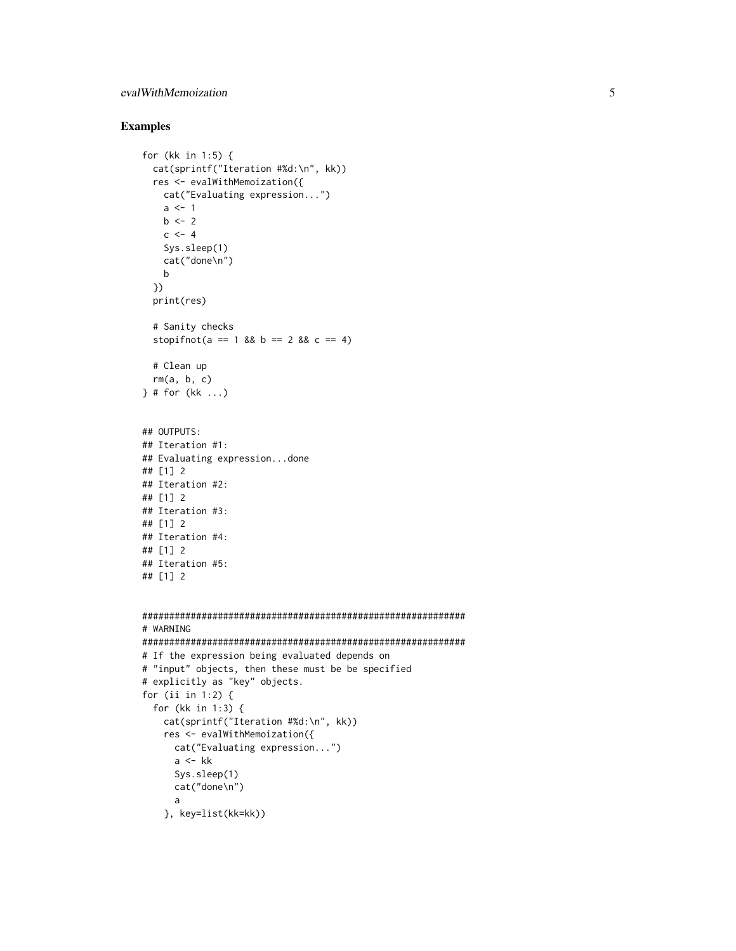### evalWithMemoization 5

## Examples

```
for (kk in 1:5) {
  cat(sprintf("Iteration #%d:\n", kk))
  res <- evalWithMemoization({
   cat("Evaluating expression...")
   a \leq -1b \le -2c \le -4Sys.sleep(1)
   cat("done\n")
   b
  })
  print(res)
  # Sanity checks
  stopifnot(a == 1 && b == 2 && c == 4)
  # Clean up
  rm(a, b, c)
} # for (kk ...)
## OUTPUTS:
## Iteration #1:
## Evaluating expression...done
## [1] 2
## Iteration #2:
## [1] 2
## Iteration #3:
## [1] 2
## Iteration #4:
## [1] 2
## Iteration #5:
## [1] 2
############################################################
# WARNING
############################################################
# If the expression being evaluated depends on
# "input" objects, then these must be be specified
# explicitly as "key" objects.
for (ii in 1:2) {
  for (kk in 1:3) {
   cat(sprintf("Iteration #%d:\n", kk))
   res <- evalWithMemoization({
      cat("Evaluating expression...")
      a \leftarrow kkSys.sleep(1)
```
cat("done\n")

```
a
```

```
}, key=list(kk=kk))
```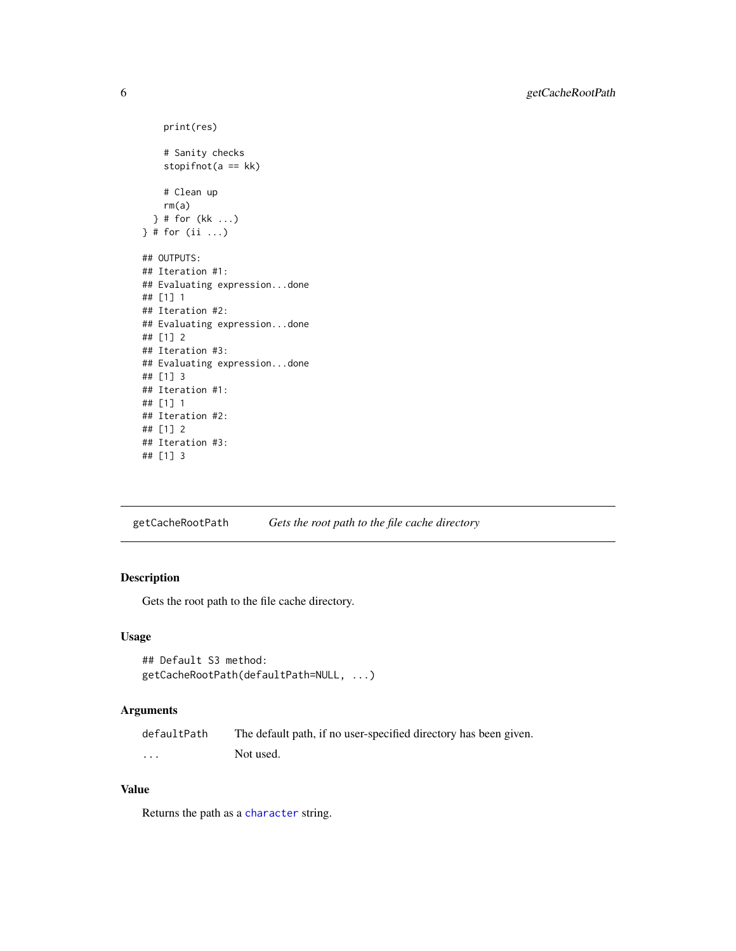```
print(res)
    # Sanity checks
    stopifnot(a == kk)# Clean up
    rm(a)
  } # for (kk ...)
} # for (ii ...)
## OUTPUTS:
## Iteration #1:
## Evaluating expression...done
## [1] 1
## Iteration #2:
## Evaluating expression...done
## [1] 2
## Iteration #3:
## Evaluating expression...done
## [1] 3
## Iteration #1:
## [1] 1
## Iteration #2:
## [1] 2
## Iteration #3:
## [1] 3
```
<span id="page-5-1"></span>getCacheRootPath *Gets the root path to the file cache directory*

## Description

Gets the root path to the file cache directory.

#### Usage

```
## Default S3 method:
getCacheRootPath(defaultPath=NULL, ...)
```
## Arguments

| defaultPath | The default path, if no user-specified directory has been given. |
|-------------|------------------------------------------------------------------|
| $\cdots$    | Not used.                                                        |

## Value

Returns the path as a [character](#page-0-0) string.

<span id="page-5-0"></span>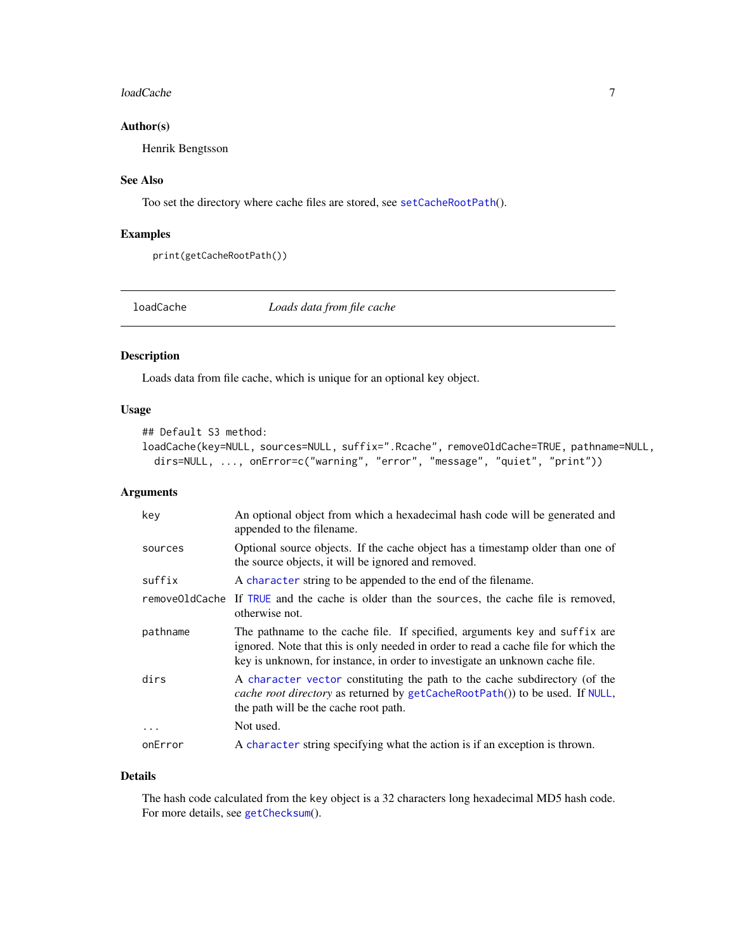#### <span id="page-6-0"></span>loadCache 7 and 7 and 7 and 7 and 7 and 7 and 7 and 7 and 7 and 7 and 7 and 7 and 7 and 7 and 7 and 7 and 7 and 7 and 7 and 7 and 7 and 7 and 7 and 7 and 7 and 7 and 7 and 7 and 7 and 7 and 7 and 7 and 7 and 7 and 7 and 7

## Author(s)

Henrik Bengtsson

## See Also

Too set the directory where cache files are stored, see [setCacheRootPath](#page-10-1)().

#### Examples

```
print(getCacheRootPath())
```
<span id="page-6-1"></span>loadCache *Loads data from file cache*

## Description

Loads data from file cache, which is unique for an optional key object.

## Usage

## Default S3 method:

```
loadCache(key=NULL, sources=NULL, suffix=".Rcache", removeOldCache=TRUE, pathname=NULL,
  dirs=NULL, ..., onError=c("warning", "error", "message", "quiet", "print"))
```
## Arguments

| key      | An optional object from which a hexadecimal hash code will be generated and<br>appended to the filename.                                                                                                                                         |
|----------|--------------------------------------------------------------------------------------------------------------------------------------------------------------------------------------------------------------------------------------------------|
| sources  | Optional source objects. If the cache object has a timestamp older than one of<br>the source objects, it will be ignored and removed.                                                                                                            |
| suffix   | A character string to be appended to the end of the filename.                                                                                                                                                                                    |
|          | remove01dCache If TRUE and the cache is older than the sources, the cache file is removed,<br>otherwise not.                                                                                                                                     |
| pathname | The pathname to the cache file. If specified, arguments key and suffix are<br>ignored. Note that this is only needed in order to read a cache file for which the<br>key is unknown, for instance, in order to investigate an unknown cache file. |
| dirs     | A character vector constituting the path to the cache subdirectory (of the<br><i>cache root directory</i> as returned by getCacheRootPath()) to be used. If NULL,<br>the path will be the cache root path.                                       |
| .        | Not used.                                                                                                                                                                                                                                        |
| onError  | A character string specifying what the action is if an exception is thrown.                                                                                                                                                                      |

#### Details

The hash code calculated from the key object is a 32 characters long hexadecimal MD5 hash code. For more details, see [getChecksum](#page-0-0)().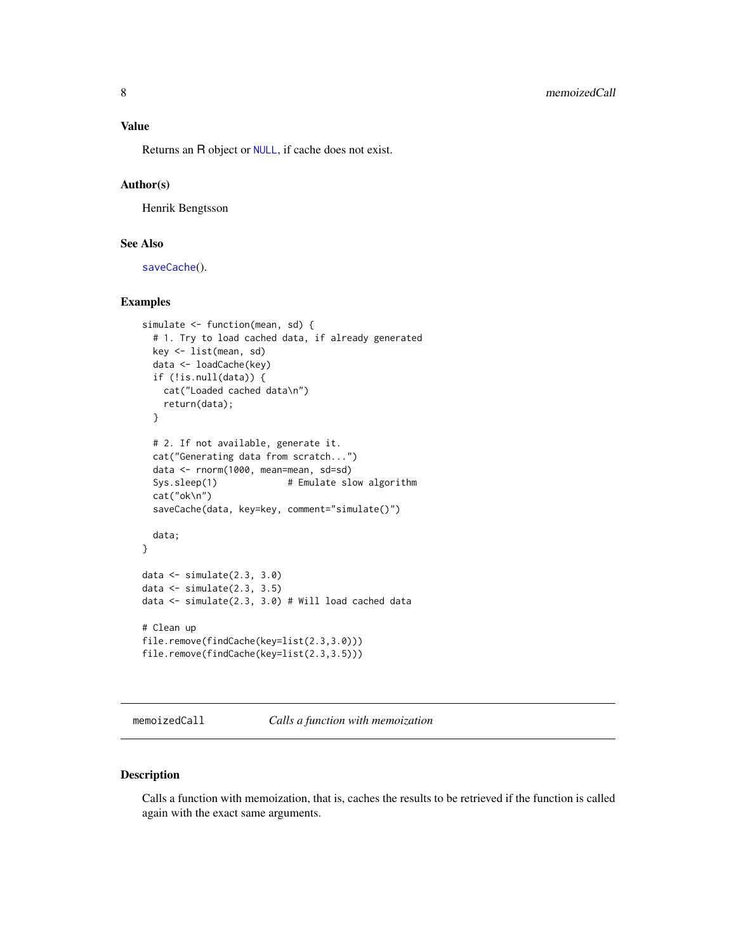<span id="page-7-0"></span>Returns an R object or [NULL](#page-0-0), if cache does not exist.

## Author(s)

Henrik Bengtsson

#### See Also

[saveCache](#page-8-1)().

#### Examples

```
simulate <- function(mean, sd) {
 # 1. Try to load cached data, if already generated
 key <- list(mean, sd)
 data <- loadCache(key)
 if (!is.null(data)) {
   cat("Loaded cached data\n")
   return(data);
 }
 # 2. If not available, generate it.
 cat("Generating data from scratch...")
 data <- rnorm(1000, mean=mean, sd=sd)
 Sys.sleep(1) # Emulate slow algorithm
 cat("ok\n")
 saveCache(data, key=key, comment="simulate()")
 data;
}
data <- simulate(2.3, 3.0)
data <- simulate(2.3, 3.5)
data <- simulate(2.3, 3.0) # Will load cached data
# Clean up
file.remove(findCache(key=list(2.3,3.0)))
file.remove(findCache(key=list(2.3,3.5)))
```
<span id="page-7-1"></span>memoizedCall *Calls a function with memoization*

## Description

Calls a function with memoization, that is, caches the results to be retrieved if the function is called again with the exact same arguments.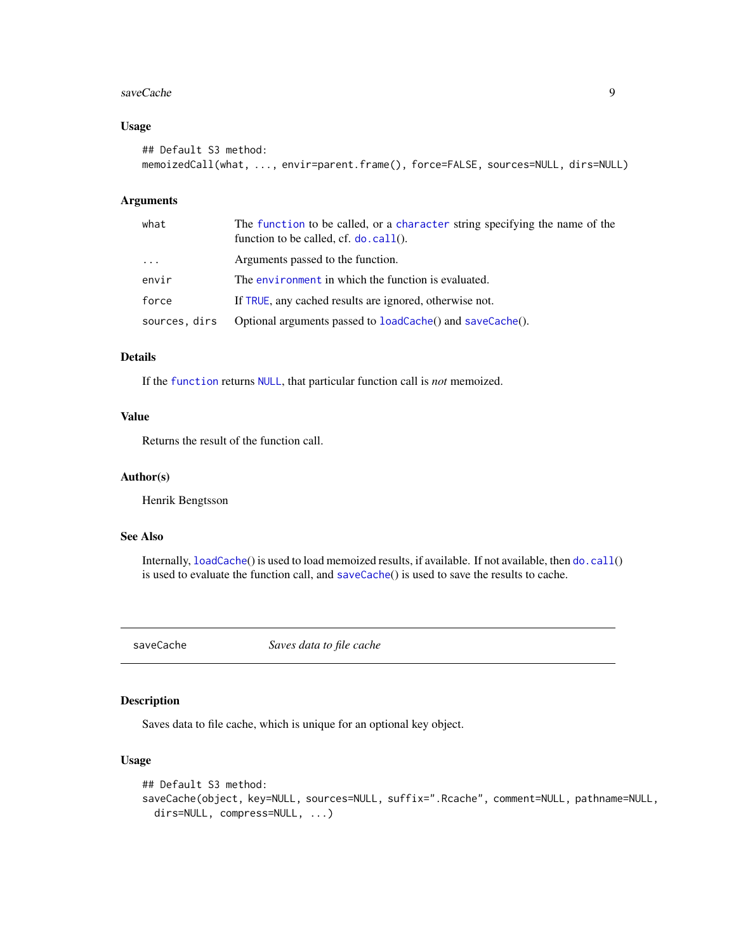#### <span id="page-8-0"></span>saveCache 9

#### Usage

```
## Default S3 method:
memoizedCall(what, ..., envir=parent.frame(), force=FALSE, sources=NULL, dirs=NULL)
```
#### Arguments

| what          | The function to be called, or a character string specifying the name of the<br>function to be called, cf. $do$ . call $()$ . |
|---------------|------------------------------------------------------------------------------------------------------------------------------|
| $\cdots$      | Arguments passed to the function.                                                                                            |
| envir         | The environment in which the function is evaluated.                                                                          |
| force         | If TRUE, any cached results are ignored, otherwise not.                                                                      |
| sources, dirs | Optional arguments passed to loadCache() and saveCache().                                                                    |

#### Details

If the [function](#page-0-0) returns [NULL](#page-0-0), that particular function call is *not* memoized.

## Value

Returns the result of the function call.

#### Author(s)

Henrik Bengtsson

#### See Also

Internally, [loadCache](#page-6-1)() is used to load memoized results, if available. If not available, then [do.call](#page-0-0)() is used to evaluate the function call, and [saveCache](#page-8-1)() is used to save the results to cache.

<span id="page-8-1"></span>saveCache *Saves data to file cache*

#### Description

Saves data to file cache, which is unique for an optional key object.

## Usage

```
## Default S3 method:
saveCache(object, key=NULL, sources=NULL, suffix=".Rcache", comment=NULL, pathname=NULL,
 dirs=NULL, compress=NULL, ...)
```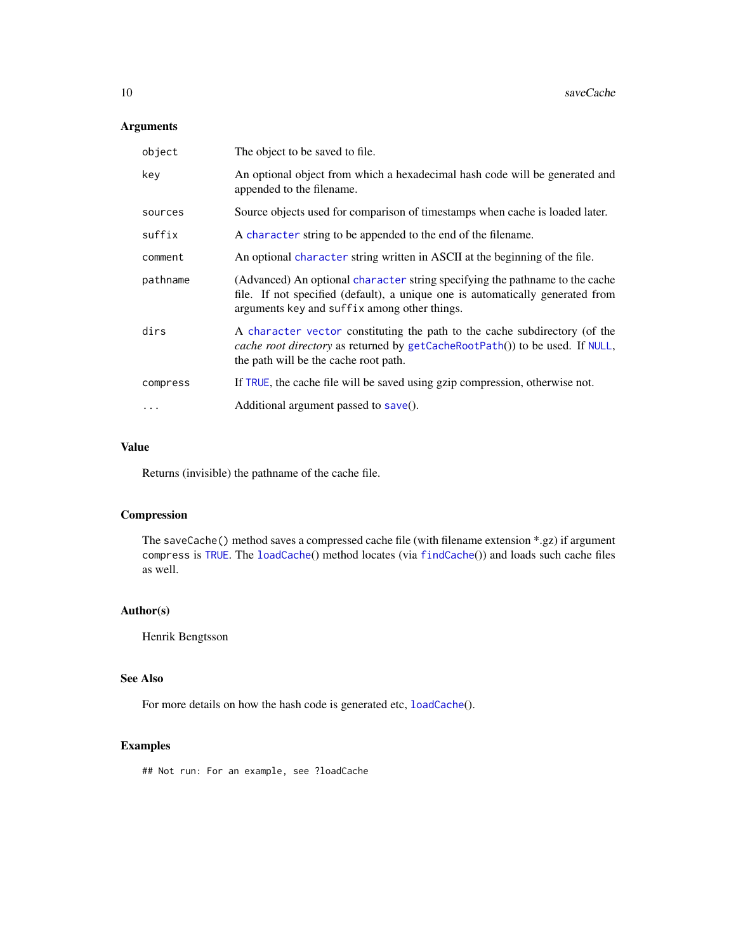## <span id="page-9-0"></span>Arguments

| object   | The object to be saved to file.                                                                                                                                                                                |  |
|----------|----------------------------------------------------------------------------------------------------------------------------------------------------------------------------------------------------------------|--|
| key      | An optional object from which a hexadecimal hash code will be generated and<br>appended to the filename.                                                                                                       |  |
| sources  | Source objects used for comparison of timestamps when cache is loaded later.                                                                                                                                   |  |
| suffix   | A character string to be appended to the end of the filename.                                                                                                                                                  |  |
| comment  | An optional character string written in ASCII at the beginning of the file.                                                                                                                                    |  |
| pathname | (Advanced) An optional character string specifying the pathname to the cache<br>file. If not specified (default), a unique one is automatically generated from<br>arguments key and suffix among other things. |  |
| dirs     | A character vector constituting the path to the cache subdirectory (of the<br>cache root directory as returned by getCacheRootPath()) to be used. If NULL,<br>the path will be the cache root path.            |  |
| compress | If TRUE, the cache file will be saved using gzip compression, otherwise not.                                                                                                                                   |  |
| $\cdots$ | Additional argument passed to $save()$ .                                                                                                                                                                       |  |

### Value

Returns (invisible) the pathname of the cache file.

## Compression

The saveCache() method saves a compressed cache file (with filename extension \*.gz) if argument compress is [TRUE](#page-0-0). The [loadCache](#page-6-1)() method locates (via [findCache](#page-0-0)()) and loads such cache files as well.

#### Author(s)

Henrik Bengtsson

#### See Also

For more details on how the hash code is generated etc, [loadCache](#page-6-1)().

## Examples

## Not run: For an example, see ?loadCache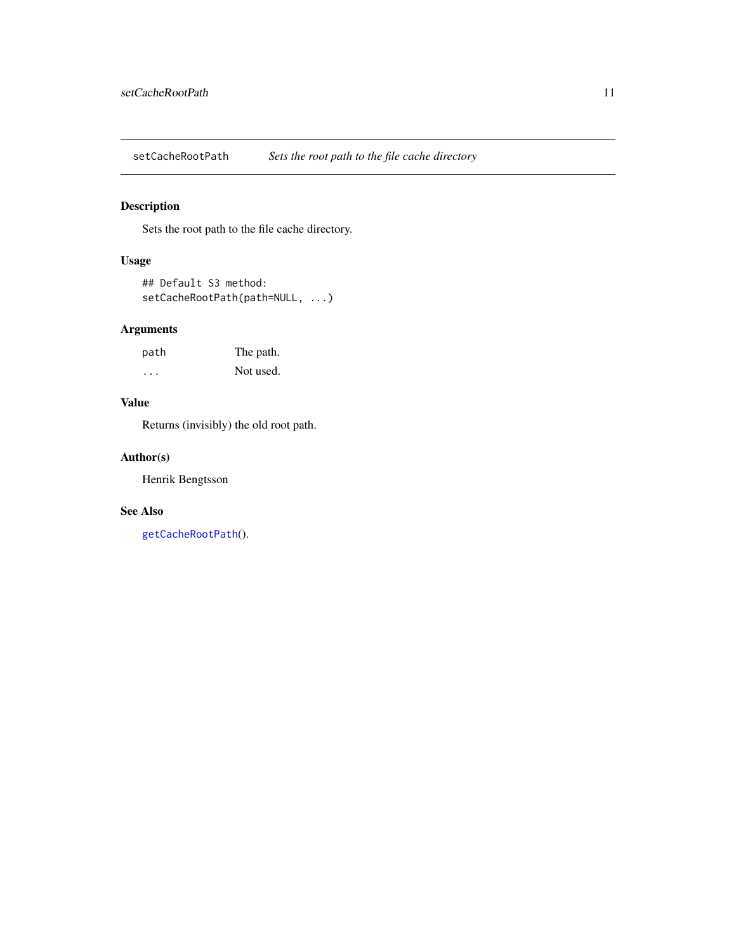<span id="page-10-1"></span><span id="page-10-0"></span>setCacheRootPath *Sets the root path to the file cache directory*

## Description

Sets the root path to the file cache directory.

## Usage

```
## Default S3 method:
setCacheRootPath(path=NULL, ...)
```
## Arguments

| path | The path. |
|------|-----------|
| .    | Not used. |

## Value

Returns (invisibly) the old root path.

#### Author(s)

Henrik Bengtsson

## See Also

[getCacheRootPath](#page-5-1)().